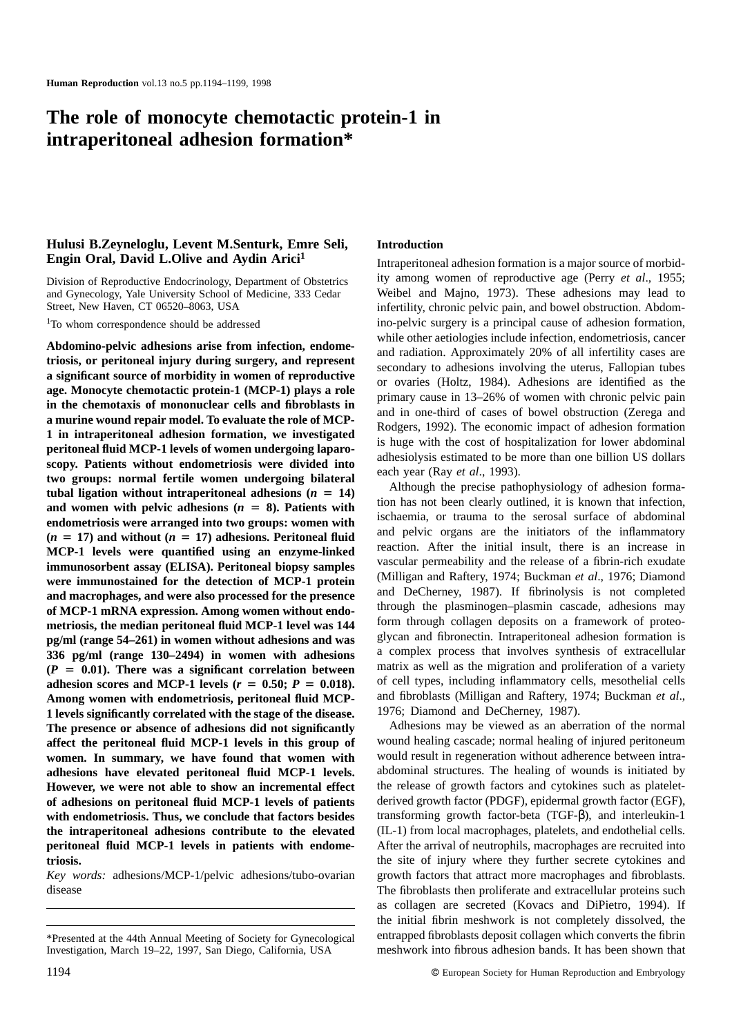# **The role of monocyte chemotactic protein-1 in intraperitoneal adhesion formation\***

# **Hulusi B.Zeyneloglu, Levent M.Senturk, Emre Seli, Engin Oral, David L.Olive and Aydin Arici1**

Division of Reproductive Endocrinology, Department of Obstetrics and Gynecology, Yale University School of Medicine, 333 Cedar Street, New Haven, CT 06520–8063, USA

<sup>1</sup>To whom correspondence should be addressed

**Abdomino-pelvic adhesions arise from infection, endometriosis, or peritoneal injury during surgery, and represent a significant source of morbidity in women of reproductive age. Monocyte chemotactic protein-1 (MCP-1) plays a role in the chemotaxis of mononuclear cells and fibroblasts in a murine wound repair model. To evaluate the role of MCP-1 in intraperitoneal adhesion formation, we investigated peritoneal fluid MCP-1 levels of women undergoing laparoscopy. Patients without endometriosis were divided into two groups: normal fertile women undergoing bilateral** tubal ligation without intraperitoneal adhesions  $(n = 14)$ and women with pelvic adhesions  $(n = 8)$ . Patients with **endometriosis were arranged into two groups: women with**  $(n = 17)$  and without  $(n = 17)$  adhesions. Peritoneal fluid **MCP-1 levels were quantified using an enzyme-linked immunosorbent assay (ELISA). Peritoneal biopsy samples were immunostained for the detection of MCP-1 protein and macrophages, and were also processed for the presence of MCP-1 mRNA expression. Among women without endometriosis, the median peritoneal fluid MCP-1 level was 144 pg/ml (range 54–261) in women without adhesions and was 336 pg/ml (range 130–2494) in women with adhesions**  $(P = 0.01)$ . There was a significant correlation between **adhesion scores and MCP-1 levels (** $r = 0.50$ **;**  $P = 0.018$ **). Among women with endometriosis, peritoneal fluid MCP-1 levels significantly correlated with the stage of the disease. The presence or absence of adhesions did not significantly affect the peritoneal fluid MCP-1 levels in this group of women. In summary, we have found that women with adhesions have elevated peritoneal fluid MCP-1 levels. However, we were not able to show an incremental effect of adhesions on peritoneal fluid MCP-1 levels of patients with endometriosis. Thus, we conclude that factors besides the intraperitoneal adhesions contribute to the elevated peritoneal fluid MCP-1 levels in patients with endometriosis.**

*Key words:* adhesions/MCP-1/pelvic adhesions/tubo-ovarian disease

## **Introduction**

Intraperitoneal adhesion formation is a major source of morbidity among women of reproductive age (Perry *et al*., 1955; Weibel and Majno, 1973). These adhesions may lead to infertility, chronic pelvic pain, and bowel obstruction. Abdomino-pelvic surgery is a principal cause of adhesion formation, while other aetiologies include infection, endometriosis, cancer and radiation. Approximately 20% of all infertility cases are secondary to adhesions involving the uterus, Fallopian tubes or ovaries (Holtz, 1984). Adhesions are identified as the primary cause in 13–26% of women with chronic pelvic pain and in one-third of cases of bowel obstruction (Zerega and Rodgers, 1992). The economic impact of adhesion formation is huge with the cost of hospitalization for lower abdominal adhesiolysis estimated to be more than one billion US dollars each year (Ray *et al*., 1993).

Although the precise pathophysiology of adhesion formation has not been clearly outlined, it is known that infection, ischaemia, or trauma to the serosal surface of abdominal and pelvic organs are the initiators of the inflammatory reaction. After the initial insult, there is an increase in vascular permeability and the release of a fibrin-rich exudate (Milligan and Raftery, 1974; Buckman *et al*., 1976; Diamond and DeCherney, 1987). If fibrinolysis is not completed through the plasminogen–plasmin cascade, adhesions may form through collagen deposits on a framework of proteoglycan and fibronectin. Intraperitoneal adhesion formation is a complex process that involves synthesis of extracellular matrix as well as the migration and proliferation of a variety of cell types, including inflammatory cells, mesothelial cells and fibroblasts (Milligan and Raftery, 1974; Buckman *et al*., 1976; Diamond and DeCherney, 1987).

Adhesions may be viewed as an aberration of the normal wound healing cascade; normal healing of injured peritoneum would result in regeneration without adherence between intraabdominal structures. The healing of wounds is initiated by the release of growth factors and cytokines such as plateletderived growth factor (PDGF), epidermal growth factor (EGF), transforming growth factor-beta (TGF-β), and interleukin-1 (IL-1) from local macrophages, platelets, and endothelial cells. After the arrival of neutrophils, macrophages are recruited into the site of injury where they further secrete cytokines and growth factors that attract more macrophages and fibroblasts. The fibroblasts then proliferate and extracellular proteins such as collagen are secreted (Kovacs and DiPietro, 1994). If the initial fibrin meshwork is not completely dissolved, the entrapped fibroblasts deposit collagen which converts the fibrin meshwork into fibrous adhesion bands. It has been shown that

<sup>\*</sup>Presented at the 44th Annual Meeting of Society for Gynecological Investigation, March 19–22, 1997, San Diego, California, USA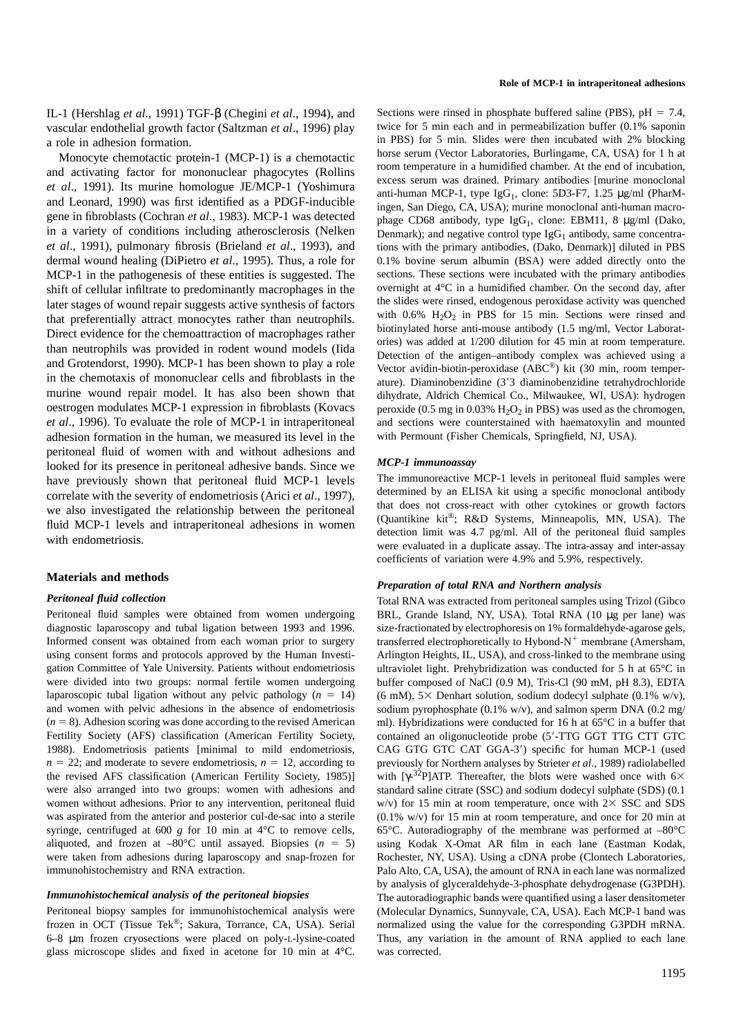IL-1 (Hershlag *et al*., 1991) TGF-β (Chegini *et al*., 1994), and vascular endothelial growth factor (Saltzman *et al*., 1996) play a role in adhesion formation.

Monocyte chemotactic protein-1 (MCP-1) is a chemotactic and activating factor for mononuclear phagocytes (Rollins *et al*., 1991). Its murine homologue JE/MCP-1 (Yoshimura and Leonard, 1990) was first identified as a PDGF-inducible gene in fibroblasts (Cochran *et al*., 1983). MCP-1 was detected in a variety of conditions including atherosclerosis (Nelken *et al*., 1991), pulmonary fibrosis (Brieland *et al*., 1993), and dermal wound healing (DiPietro *et al*., 1995). Thus, a role for MCP-1 in the pathogenesis of these entities is suggested. The shift of cellular infiltrate to predominantly macrophages in the later stages of wound repair suggests active synthesis of factors that preferentially attract monocytes rather than neutrophils. Direct evidence for the chemoattraction of macrophages rather than neutrophils was provided in rodent wound models (Iida and Grotendorst, 1990). MCP-1 has been shown to play a role in the chemotaxis of mononuclear cells and fibroblasts in the murine wound repair model. It has also been shown that oestrogen modulates MCP-1 expression in fibroblasts (Kovacs *et al*., 1996). To evaluate the role of MCP-1 in intraperitoneal adhesion formation in the human, we measured its level in the peritoneal fluid of women with and without adhesions and looked for its presence in peritoneal adhesive bands. Since we have previously shown that peritoneal fluid MCP-1 levels correlate with the severity of endometriosis (Arici *et al*., 1997), we also investigated the relationship between the peritoneal fluid MCP-1 levels and intraperitoneal adhesions in women with endometriosis.

#### **Materials and methods**

## *Peritoneal fluid collection*

Peritoneal fluid samples were obtained from women undergoing diagnostic laparoscopy and tubal ligation between 1993 and 1996. Informed consent was obtained from each woman prior to surgery using consent forms and protocols approved by the Human Investigation Committee of Yale University. Patients without endometriosis were divided into two groups: normal fertile women undergoing laparoscopic tubal ligation without any pelvic pathology  $(n = 14)$ and women with pelvic adhesions in the absence of endometriosis  $(n = 8)$ . Adhesion scoring was done according to the revised American Fertility Society (AFS) classification (American Fertility Society, 1988). Endometriosis patients [minimal to mild endometriosis,  $n = 22$ ; and moderate to severe endometriosis,  $n = 12$ , according to the revised AFS classification (American Fertility Society, 1985)] were also arranged into two groups: women with adhesions and women without adhesions. Prior to any intervention, peritoneal fluid was aspirated from the anterior and posterior cul-de-sac into a sterile syringe, centrifuged at 600 *g* for 10 min at 4°C to remove cells, aliquoted, and frozen at  $-80^{\circ}$ C until assayed. Biopsies ( $n = 5$ ) were taken from adhesions during laparoscopy and snap-frozen for immunohistochemistry and RNA extraction.

#### *Immunohistochemical analysis of the peritoneal biopsies*

Peritoneal biopsy samples for immunohistochemical analysis were frozen in OCT (Tissue Tek®; Sakura, Torrance, CA, USA). Serial 6–8 µm frozen cryosections were placed on poly-L-lysine-coated glass microscope slides and fixed in acetone for 10 min at 4°C.

Sections were rinsed in phosphate buffered saline (PBS),  $pH = 7.4$ , twice for 5 min each and in permeabilization buffer (0.1% saponin in PBS) for 5 min. Slides were then incubated with 2% blocking horse serum (Vector Laboratories, Burlingame, CA, USA) for 1 h at room temperature in a humidified chamber. At the end of incubation, excess serum was drained. Primary antibodies [murine monoclonal anti-human MCP-1, type  $IgG_1$ , clone: 5D3-F7, 1.25  $\mu$ g/ml (PharMingen, San Diego, CA, USA); murine monoclonal anti-human macrophage CD68 antibody, type  $IgG_1$ , clone: EBM11, 8  $\mu$ g/ml (Dako, Denmark); and negative control type  $IgG_1$  antibody, same concentrations with the primary antibodies, (Dako, Denmark)] diluted in PBS 0.1% bovine serum albumin (BSA) were added directly onto the sections. These sections were incubated with the primary antibodies overnight at 4°C in a humidified chamber. On the second day, after the slides were rinsed, endogenous peroxidase activity was quenched with  $0.6\%$  H<sub>2</sub>O<sub>2</sub> in PBS for 15 min. Sections were rinsed and biotinylated horse anti-mouse antibody (1.5 mg/ml, Vector Laboratories) was added at 1/200 dilution for 45 min at room temperature. Detection of the antigen–antibody complex was achieved using a Vector avidin-biotin-peroxidase (ABC®) kit (30 min, room temperature). Diaminobenzidine (3'3 diaminobenzidine tetrahydrochloride dihydrate, Aldrich Chemical Co., Milwaukee, WI, USA): hydrogen peroxide (0.5 mg in 0.03%  $H_2O_2$  in PBS) was used as the chromogen, and sections were counterstained with haematoxylin and mounted with Permount (Fisher Chemicals, Springfield, NJ, USA).

## *MCP-1 immunoassay*

The immunoreactive MCP-1 levels in peritoneal fluid samples were determined by an ELISA kit using a specific monoclonal antibody that does not cross-react with other cytokines or growth factors (Quantikine kit®; R&D Systems, Minneapolis, MN, USA). The detection limit was 4.7 pg/ml. All of the peritoneal fluid samples were evaluated in a duplicate assay. The intra-assay and inter-assay coefficients of variation were 4.9% and 5.9%, respectively.

#### *Preparation of total RNA and Northern analysis*

Total RNA was extracted from peritoneal samples using Trizol (Gibco BRL, Grande Island, NY, USA). Total RNA (10 µg per lane) was size-fractionated by electrophoresis on 1% formaldehyde-agarose gels, transferred electrophoretically to Hybond- $N^+$  membrane (Amersham, Arlington Heights, IL, USA), and cross-linked to the membrane using ultraviolet light. Prehybridization was conducted for 5 h at 65°C in buffer composed of NaCl (0.9 M), Tris-Cl (90 mM, pH 8.3), EDTA (6 mM),  $5 \times$  Denhart solution, sodium dodecyl sulphate (0.1% w/v), sodium pyrophosphate (0.1% w/v), and salmon sperm DNA (0.2 mg/ ml). Hybridizations were conducted for 16 h at 65°C in a buffer that contained an oligonucleotide probe (5'-TTG GGT TTG CTT GTC CAG GTG GTC CAT GGA-3') specific for human MCP-1 (used previously for Northern analyses by Strieter *et al*., 1989) radiolabelled with [ $\gamma$ -<sup>32</sup>P]ATP. Thereafter, the blots were washed once with 6× standard saline citrate (SSC) and sodium dodecyl sulphate (SDS) (0.1 w/v) for 15 min at room temperature, once with  $2 \times$  SSC and SDS (0.1% w/v) for 15 min at room temperature, and once for 20 min at 65°C. Autoradiography of the membrane was performed at –80°C using Kodak X-Omat AR film in each lane (Eastman Kodak, Rochester, NY, USA). Using a cDNA probe (Clontech Laboratories, Palo Alto, CA, USA), the amount of RNA in each lane was normalized by analysis of glyceraldehyde-3-phosphate dehydrogenase (G3PDH). The autoradiographic bands were quantified using a laser densitometer (Molecular Dynamics, Sunnyvale, CA, USA). Each MCP-1 band was normalized using the value for the corresponding G3PDH mRNA. Thus, any variation in the amount of RNA applied to each lane was corrected.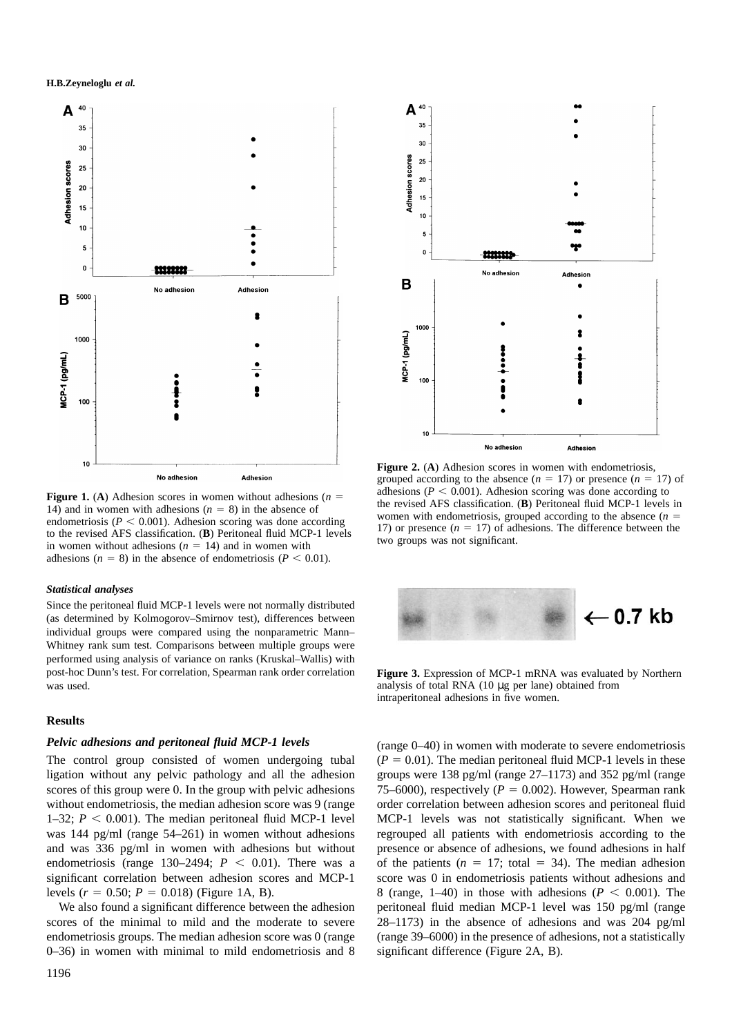

**Figure 1.** (A) Adhesion scores in women without adhesions ( $n =$ 14) and in women with adhesions  $(n = 8)$  in the absence of endometriosis ( $P < 0.001$ ). Adhesion scoring was done according to the revised AFS classification. (**B**) Peritoneal fluid MCP-1 levels in women without adhesions  $(n = 14)$  and in women with adhesions ( $n = 8$ ) in the absence of endometriosis ( $P < 0.01$ ).

#### *Statistical analyses*

Since the peritoneal fluid MCP-1 levels were not normally distributed (as determined by Kolmogorov–Smirnov test), differences between individual groups were compared using the nonparametric Mann– Whitney rank sum test. Comparisons between multiple groups were performed using analysis of variance on ranks (Kruskal–Wallis) with post-hoc Dunn's test. For correlation, Spearman rank order correlation was used.

## **Results**

#### *Pelvic adhesions and peritoneal fluid MCP-1 levels*

The control group consisted of women undergoing tubal ligation without any pelvic pathology and all the adhesion scores of this group were 0. In the group with pelvic adhesions without endometriosis, the median adhesion score was 9 (range 1–32;  $P < 0.001$ ). The median peritoneal fluid MCP-1 level was 144 pg/ml (range 54–261) in women without adhesions and was 336 pg/ml in women with adhesions but without endometriosis (range 130–2494;  $P < 0.01$ ). There was a significant correlation between adhesion scores and MCP-1 levels  $(r = 0.50; P = 0.018)$  (Figure 1A, B).

We also found a significant difference between the adhesion scores of the minimal to mild and the moderate to severe endometriosis groups. The median adhesion score was 0 (range 0–36) in women with minimal to mild endometriosis and 8



**Figure 2.** (**A**) Adhesion scores in women with endometriosis, grouped according to the absence  $(n = 17)$  or presence  $(n = 17)$  of adhesions ( $P \leq 0.001$ ). Adhesion scoring was done according to the revised AFS classification. (**B**) Peritoneal fluid MCP-1 levels in women with endometriosis, grouped according to the absence  $(n =$ 17) or presence  $(n = 17)$  of adhesions. The difference between the two groups was not significant.



**Figure 3.** Expression of MCP-1 mRNA was evaluated by Northern analysis of total RNA (10 µg per lane) obtained from intraperitoneal adhesions in five women.

(range 0–40) in women with moderate to severe endometriosis  $(P = 0.01)$ . The median peritoneal fluid MCP-1 levels in these groups were 138 pg/ml (range 27–1173) and 352 pg/ml (range 75–6000), respectively  $(P = 0.002)$ . However, Spearman rank order correlation between adhesion scores and peritoneal fluid MCP-1 levels was not statistically significant. When we regrouped all patients with endometriosis according to the presence or absence of adhesions, we found adhesions in half of the patients  $(n = 17;$  total  $= 34$ ). The median adhesion score was 0 in endometriosis patients without adhesions and 8 (range, 1–40) in those with adhesions ( $P < 0.001$ ). The peritoneal fluid median MCP-1 level was 150 pg/ml (range 28–1173) in the absence of adhesions and was 204 pg/ml (range 39–6000) in the presence of adhesions, not a statistically significant difference (Figure 2A, B).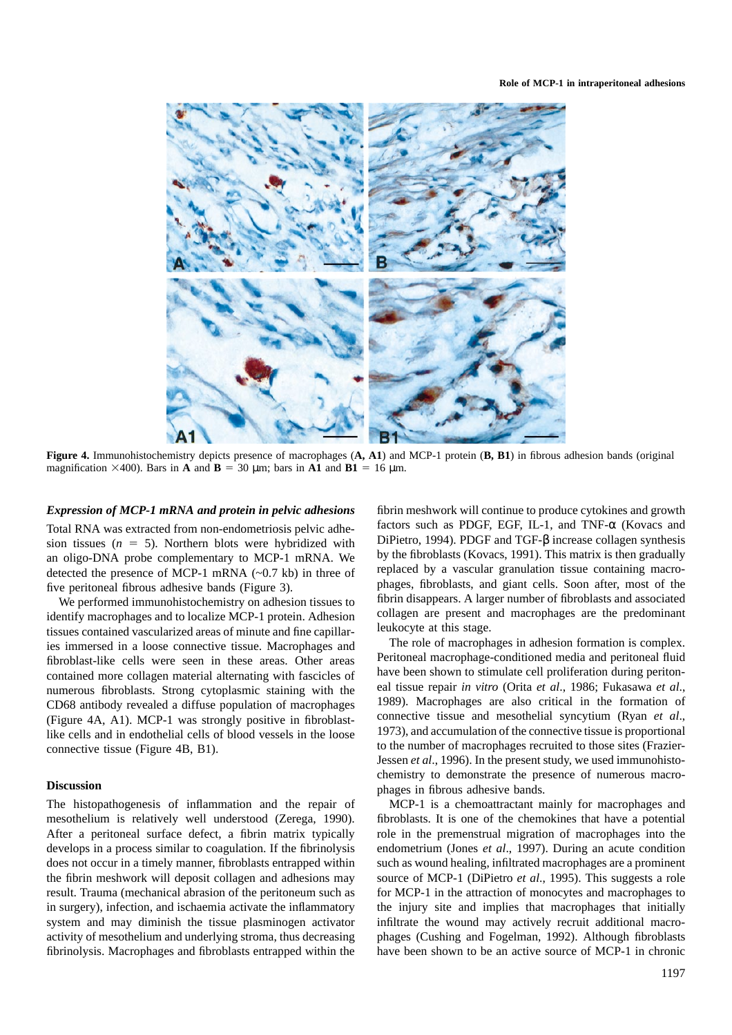

**Figure 4.** Immunohistochemistry depicts presence of macrophages (**A, A1**) and MCP-1 protein (**B, B1**) in fibrous adhesion bands (original magnification  $\times$ 400). Bars in **A** and **B** = 30 µm; bars in **A1** and **B1** = 16 µm.

## *Expression of MCP-1 mRNA and protein in pelvic adhesions*

Total RNA was extracted from non-endometriosis pelvic adhesion tissues  $(n = 5)$ . Northern blots were hybridized with an oligo-DNA probe complementary to MCP-1 mRNA. We detected the presence of MCP-1 mRNA  $(-0.7 \text{ kb})$  in three of five peritoneal fibrous adhesive bands (Figure 3).

We performed immunohistochemistry on adhesion tissues to identify macrophages and to localize MCP-1 protein. Adhesion tissues contained vascularized areas of minute and fine capillaries immersed in a loose connective tissue. Macrophages and fibroblast-like cells were seen in these areas. Other areas contained more collagen material alternating with fascicles of numerous fibroblasts. Strong cytoplasmic staining with the CD68 antibody revealed a diffuse population of macrophages (Figure 4A, A1). MCP-1 was strongly positive in fibroblastlike cells and in endothelial cells of blood vessels in the loose connective tissue (Figure 4B, B1).

#### **Discussion**

The histopathogenesis of inflammation and the repair of mesothelium is relatively well understood (Zerega, 1990). After a peritoneal surface defect, a fibrin matrix typically develops in a process similar to coagulation. If the fibrinolysis does not occur in a timely manner, fibroblasts entrapped within the fibrin meshwork will deposit collagen and adhesions may result. Trauma (mechanical abrasion of the peritoneum such as in surgery), infection, and ischaemia activate the inflammatory system and may diminish the tissue plasminogen activator activity of mesothelium and underlying stroma, thus decreasing fibrinolysis. Macrophages and fibroblasts entrapped within the

fibrin meshwork will continue to produce cytokines and growth factors such as PDGF, EGF, IL-1, and TNF-α (Kovacs and DiPietro, 1994). PDGF and TGF-β increase collagen synthesis by the fibroblasts (Kovacs, 1991). This matrix is then gradually replaced by a vascular granulation tissue containing macrophages, fibroblasts, and giant cells. Soon after, most of the fibrin disappears. A larger number of fibroblasts and associated collagen are present and macrophages are the predominant leukocyte at this stage.

The role of macrophages in adhesion formation is complex. Peritoneal macrophage-conditioned media and peritoneal fluid have been shown to stimulate cell proliferation during peritoneal tissue repair *in vitro* (Orita *et al*., 1986; Fukasawa *et al*., 1989). Macrophages are also critical in the formation of connective tissue and mesothelial syncytium (Ryan *et al*., 1973), and accumulation of the connective tissue is proportional to the number of macrophages recruited to those sites (Frazier-Jessen *et al*., 1996). In the present study, we used immunohistochemistry to demonstrate the presence of numerous macrophages in fibrous adhesive bands.

MCP-1 is a chemoattractant mainly for macrophages and fibroblasts. It is one of the chemokines that have a potential role in the premenstrual migration of macrophages into the endometrium (Jones *et al*., 1997). During an acute condition such as wound healing, infiltrated macrophages are a prominent source of MCP-1 (DiPietro *et al*., 1995). This suggests a role for MCP-1 in the attraction of monocytes and macrophages to the injury site and implies that macrophages that initially infiltrate the wound may actively recruit additional macrophages (Cushing and Fogelman, 1992). Although fibroblasts have been shown to be an active source of MCP-1 in chronic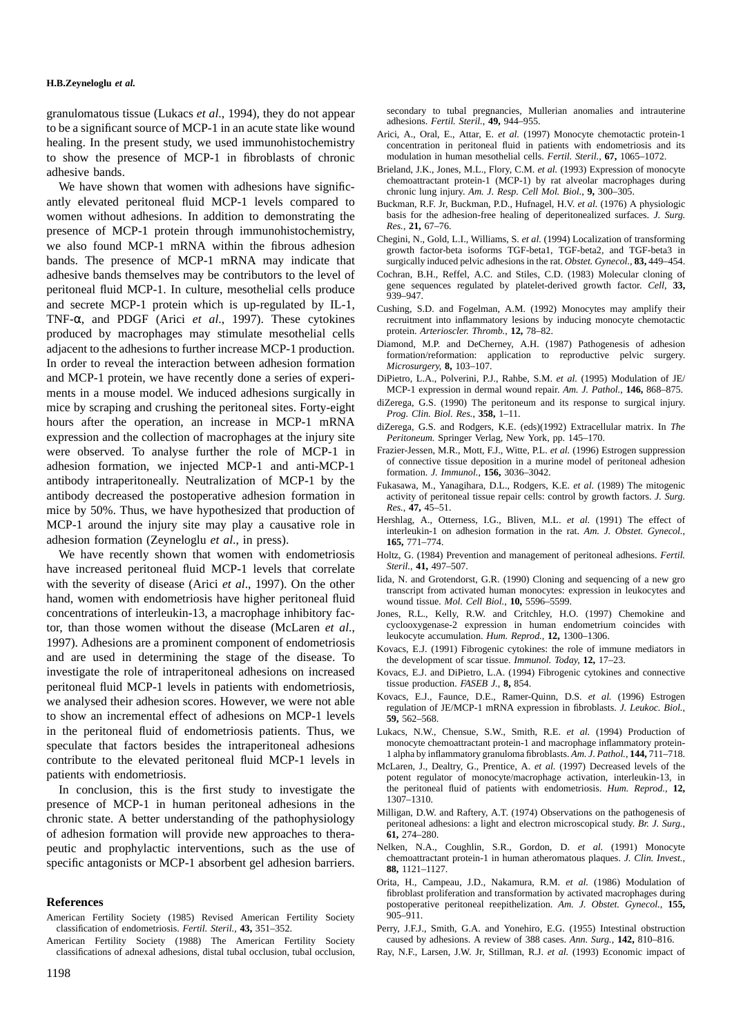granulomatous tissue (Lukacs *et al*., 1994), they do not appear to be a significant source of MCP-1 in an acute state like wound healing. In the present study, we used immunohistochemistry to show the presence of MCP-1 in fibroblasts of chronic adhesive bands.

We have shown that women with adhesions have significantly elevated peritoneal fluid MCP-1 levels compared to women without adhesions. In addition to demonstrating the presence of MCP-1 protein through immunohistochemistry, we also found MCP-1 mRNA within the fibrous adhesion bands. The presence of MCP-1 mRNA may indicate that adhesive bands themselves may be contributors to the level of peritoneal fluid MCP-1. In culture, mesothelial cells produce and secrete MCP-1 protein which is up-regulated by IL-1, TNF-α, and PDGF (Arici *et al*., 1997). These cytokines produced by macrophages may stimulate mesothelial cells adjacent to the adhesions to further increase MCP-1 production. In order to reveal the interaction between adhesion formation and MCP-1 protein, we have recently done a series of experiments in a mouse model. We induced adhesions surgically in mice by scraping and crushing the peritoneal sites. Forty-eight hours after the operation, an increase in MCP-1 mRNA expression and the collection of macrophages at the injury site were observed. To analyse further the role of MCP-1 in adhesion formation, we injected MCP-1 and anti-MCP-1 antibody intraperitoneally. Neutralization of MCP-1 by the antibody decreased the postoperative adhesion formation in mice by 50%. Thus, we have hypothesized that production of MCP-1 around the injury site may play a causative role in adhesion formation (Zeyneloglu *et al*., in press).

We have recently shown that women with endometriosis have increased peritoneal fluid MCP-1 levels that correlate with the severity of disease (Arici *et al*., 1997). On the other hand, women with endometriosis have higher peritoneal fluid concentrations of interleukin-13, a macrophage inhibitory factor, than those women without the disease (McLaren *et al*., 1997). Adhesions are a prominent component of endometriosis and are used in determining the stage of the disease. To investigate the role of intraperitoneal adhesions on increased peritoneal fluid MCP-1 levels in patients with endometriosis, we analysed their adhesion scores. However, we were not able to show an incremental effect of adhesions on MCP-1 levels in the peritoneal fluid of endometriosis patients. Thus, we speculate that factors besides the intraperitoneal adhesions contribute to the elevated peritoneal fluid MCP-1 levels in patients with endometriosis.

In conclusion, this is the first study to investigate the presence of MCP-1 in human peritoneal adhesions in the chronic state. A better understanding of the pathophysiology of adhesion formation will provide new approaches to therapeutic and prophylactic interventions, such as the use of specific antagonists or MCP-1 absorbent gel adhesion barriers.

#### **References**

- American Fertility Society (1985) Revised American Fertility Society classification of endometriosis. *Fertil. Steril.*, **43,** 351–352.
- American Fertility Society (1988) The American Fertility Society classifications of adnexal adhesions, distal tubal occlusion, tubal occlusion,

secondary to tubal pregnancies, Mullerian anomalies and intrauterine adhesions. *Fertil. Steril.*, **49,** 944–955.

- Arici, A., Oral, E., Attar, E. *et al.* (1997) Monocyte chemotactic protein-1 concentration in peritoneal fluid in patients with endometriosis and its modulation in human mesothelial cells. *Fertil. Steril.*, **67,** 1065–1072.
- Brieland, J.K., Jones, M.L., Flory, C.M. *et al.* (1993) Expression of monocyte chemoattractant protein-1 (MCP-1) by rat alveolar macrophages during chronic lung injury. *Am. J. Resp. Cell Mol. Biol.*, **9,** 300–305.
- Buckman, R.F. Jr, Buckman, P.D., Hufnagel, H.V. *et al.* (1976) A physiologic basis for the adhesion-free healing of deperitonealized surfaces. *J. Surg. Res.*, **21,** 67–76.
- Chegini, N., Gold, L.I., Williams, S. *et al.* (1994) Localization of transforming growth factor-beta isoforms TGF-beta1, TGF-beta2, and TGF-beta3 in surgically induced pelvic adhesions in the rat. *Obstet. Gynecol.*, **83,** 449–454.
- Cochran, B.H., Reffel, A.C. and Stiles, C.D. (1983) Molecular cloning of gene sequences regulated by platelet-derived growth factor. *Cell*, **33,** 939–947.
- Cushing, S.D. and Fogelman, A.M. (1992) Monocytes may amplify their recruitment into inflammatory lesions by inducing monocyte chemotactic protein. *Arterioscler. Thromb.*, **12,** 78–82.
- Diamond, M.P. and DeCherney, A.H. (1987) Pathogenesis of adhesion formation/reformation: application to reproductive pelvic surgery. *Microsurgery*, **8,** 103–107.
- DiPietro, L.A., Polverini, P.J., Rahbe, S.M. *et al.* (1995) Modulation of JE/ MCP-1 expression in dermal wound repair. *Am. J. Pathol.*, **146,** 868–875.
- diZerega, G.S. (1990) The peritoneum and its response to surgical injury. *Prog. Clin. Biol. Res.*, **358,** 1–11.
- diZerega, G.S. and Rodgers, K.E. (eds)(1992) Extracellular matrix. In *The Peritoneum.* Springer Verlag, New York, pp. 145–170.
- Frazier-Jessen, M.R., Mott, F.J., Witte, P.L. *et al.* (1996) Estrogen suppression of connective tissue deposition in a murine model of peritoneal adhesion formation. *J. Immunol.*, **156,** 3036–3042.
- Fukasawa, M., Yanagihara, D.L., Rodgers, K.E. *et al.* (1989) The mitogenic activity of peritoneal tissue repair cells: control by growth factors. *J. Surg. Res.*, **47,** 45–51.
- Hershlag, A., Otterness, I.G., Bliven, M.L. *et al.* (1991) The effect of interleukin-1 on adhesion formation in the rat. *Am. J. Obstet. Gynecol.*, **165,** 771–774.
- Holtz, G. (1984) Prevention and management of peritoneal adhesions. *Fertil. Steril.*, **41,** 497–507.
- Iida, N. and Grotendorst, G.R. (1990) Cloning and sequencing of a new gro transcript from activated human monocytes: expression in leukocytes and wound tissue. *Mol. Cell Biol.*, **10,** 5596–5599.
- Jones, R.L., Kelly, R.W. and Critchley, H.O. (1997) Chemokine and cyclooxygenase-2 expression in human endometrium coincides with leukocyte accumulation. *Hum. Reprod.*, **12,** 1300–1306.
- Kovacs, E.J. (1991) Fibrogenic cytokines: the role of immune mediators in the development of scar tissue. *Immunol. Today*, **12,** 17–23.
- Kovacs, E.J. and DiPietro, L.A. (1994) Fibrogenic cytokines and connective tissue production. *FASEB J.*, **8,** 854.
- Kovacs, E.J., Faunce, D.E., Ramer-Quinn, D.S. *et al.* (1996) Estrogen regulation of JE/MCP-1 mRNA expression in fibroblasts. *J. Leukoc. Biol.*, **59,** 562–568.
- Lukacs, N.W., Chensue, S.W., Smith, R.E. *et al.* (1994) Production of monocyte chemoattractant protein-1 and macrophage inflammatory protein-1 alpha by inflammatory granuloma fibroblasts. *Am. J. Pathol.*, **144,** 711–718.
- McLaren, J., Dealtry, G., Prentice, A. *et al.* (1997) Decreased levels of the potent regulator of monocyte/macrophage activation, interleukin-13, in the peritoneal fluid of patients with endometriosis. *Hum. Reprod.*, **12,** 1307–1310.
- Milligan, D.W. and Raftery, A.T. (1974) Observations on the pathogenesis of peritoneal adhesions: a light and electron microscopical study. *Br. J. Surg.*, **61,** 274–280.
- Nelken, N.A., Coughlin, S.R., Gordon, D. *et al.* (1991) Monocyte chemoattractant protein-1 in human atheromatous plaques. *J. Clin. Invest.*, **88,** 1121–1127.
- Orita, H., Campeau, J.D., Nakamura, R.M. *et al.* (1986) Modulation of fibroblast proliferation and transformation by activated macrophages during postoperative peritoneal reepithelization. *Am. J. Obstet. Gynecol.*, **155,** 905–911.
- Perry, J.F.J., Smith, G.A. and Yonehiro, E.G. (1955) Intestinal obstruction caused by adhesions. A review of 388 cases. *Ann. Surg.*, **142,** 810–816.
- Ray, N.F., Larsen, J.W. Jr, Stillman, R.J. *et al.* (1993) Economic impact of